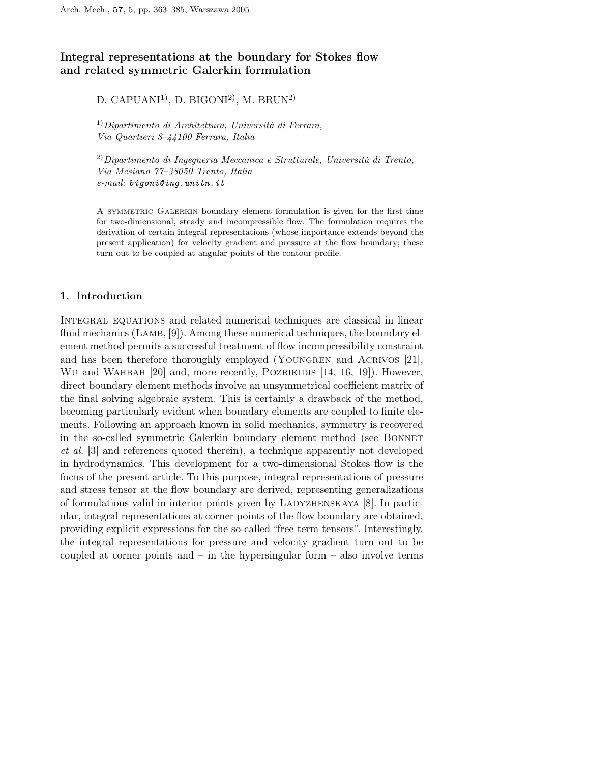# Integral representations at the boundary for Stokes flow and related symmetric Galerkin formulation

# D. CAPUANI<sup>1)</sup>, D. BIGONI<sup>2)</sup>, M. BRUN<sup>2)</sup>

 $1)$ Dipartimento di Architettura, Università di Ferrara, Via Quartieri 8–44100 Ferrara, Italia

 $^{2)}$ Dipartimento di Ingegneria Meccanica e Strutturale, Università di Trento, Via Mesiano 77–38050 Trento, Italia e-mail: bigoni@ing.unitn.it

A symmetric Galerkin boundary element formulation is given for the first time for two-dimensional, steady and incompressible flow. The formulation requires the derivation of certain integral representations (whose importance extends beyond the present application) for velocity gradient and pressure at the flow boundary; these turn out to be coupled at angular points of the contour profile.

## 1. Introduction

Integral equations and related numerical techniques are classical in linear fluid mechanics (LAMB, [9]). Among these numerical techniques, the boundary element method permits a successful treatment of flow incompressibility constraint and has been therefore thoroughly employed (YOUNGREN and ACRIVOS [21], WU and WAHBAH [20] and, more recently, POZRIKIDIS [14, 16, 19]). However, direct boundary element methods involve an unsymmetrical coefficient matrix of the final solving algebraic system. This is certainly a drawback of the method, becoming particularly evident when boundary elements are coupled to finite elements. Following an approach known in solid mechanics, symmetry is recovered in the so-called symmetric Galerkin boundary element method (see Bonnet et al. [3] and references quoted therein), a technique apparently not developed in hydrodynamics. This development for a two-dimensional Stokes flow is the focus of the present article. To this purpose, integral representations of pressure and stress tensor at the flow boundary are derived, representing generalizations of formulations valid in interior points given by Ladyzhenskaya [8]. In particular, integral representations at corner points of the flow boundary are obtained, providing explicit expressions for the so-called "free term tensors". Interestingly, the integral representations for pressure and velocity gradient turn out to be coupled at corner points and  $-$  in the hypersingular form  $-$  also involve terms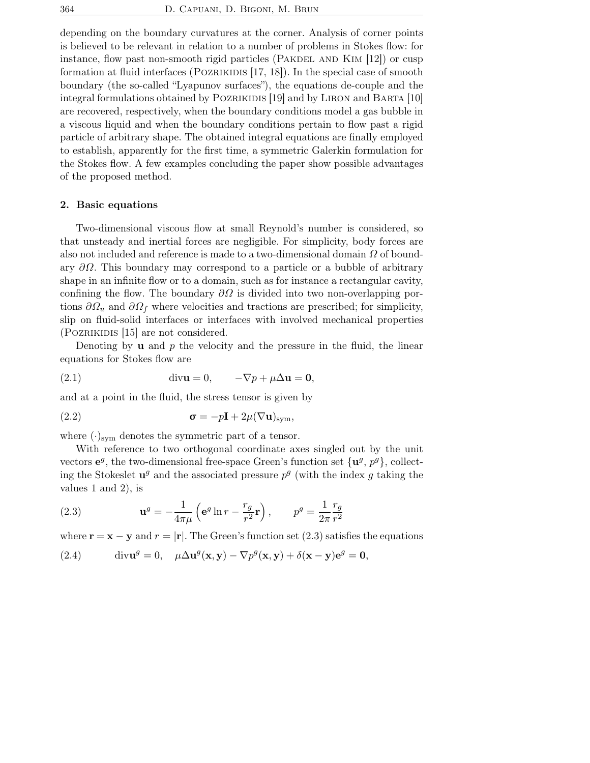depending on the boundary curvatures at the corner. Analysis of corner points is believed to be relevant in relation to a number of problems in Stokes flow: for instance, flow past non-smooth rigid particles (PAKDEL AND  $\text{KM}$  [12]) or cusp formation at fluid interfaces (POZRIKIDIS  $[17, 18]$ ). In the special case of smooth boundary (the so-called "Lyapunov surfaces"), the equations de-couple and the integral formulations obtained by POZRIKIDIS [19] and by LIRON and BARTA [10] are recovered, respectively, when the boundary conditions model a gas bubble in a viscous liquid and when the boundary conditions pertain to flow past a rigid particle of arbitrary shape. The obtained integral equations are finally employed to establish, apparently for the first time, a symmetric Galerkin formulation for the Stokes flow. A few examples concluding the paper show possible advantages of the proposed method.

### 2. Basic equations

Two-dimensional viscous flow at small Reynold's number is considered, so that unsteady and inertial forces are negligible. For simplicity, body forces are also not included and reference is made to a two-dimensional domain  $\Omega$  of boundary  $\partial\Omega$ . This boundary may correspond to a particle or a bubble of arbitrary shape in an infinite flow or to a domain, such as for instance a rectangular cavity, confining the flow. The boundary  $\partial\Omega$  is divided into two non-overlapping portions  $\partial \Omega_u$  and  $\partial \Omega_f$  where velocities and tractions are prescribed; for simplicity, slip on fluid-solid interfaces or interfaces with involved mechanical properties (Pozrikidis [15] are not considered.

Denoting by **u** and  $p$  the velocity and the pressure in the fluid, the linear equations for Stokes flow are

(2.1) 
$$
\operatorname{div} \mathbf{u} = 0, \quad -\nabla p + \mu \Delta \mathbf{u} = \mathbf{0},
$$

and at a point in the fluid, the stress tensor is given by

(2.2) 
$$
\sigma = -p\mathbf{I} + 2\mu (\nabla \mathbf{u})_{\text{sym}},
$$

where  $(\cdot)_{\text{sym}}$  denotes the symmetric part of a tensor.

With reference to two orthogonal coordinate axes singled out by the unit vectors  $e^g$ , the two-dimensional free-space Green's function set  $\{u^g, p^g\}$ , collecting the Stokeslet  $\mathbf{u}^g$  and the associated pressure  $p^g$  (with the index g taking the values 1 and 2), is

(2.3) 
$$
\mathbf{u}^g = -\frac{1}{4\pi\mu} \left( \mathbf{e}^g \ln r - \frac{r_g}{r^2} \mathbf{r} \right), \qquad p^g = \frac{1}{2\pi} \frac{r_g}{r^2}
$$

where  $\mathbf{r} = \mathbf{x} - \mathbf{y}$  and  $r = |\mathbf{r}|$ . The Green's function set (2.3) satisfies the equations

(2.4) 
$$
\operatorname{div} \mathbf{u}^g = 0, \quad \mu \Delta \mathbf{u}^g(\mathbf{x}, \mathbf{y}) - \nabla p^g(\mathbf{x}, \mathbf{y}) + \delta(\mathbf{x} - \mathbf{y}) \mathbf{e}^g = \mathbf{0},
$$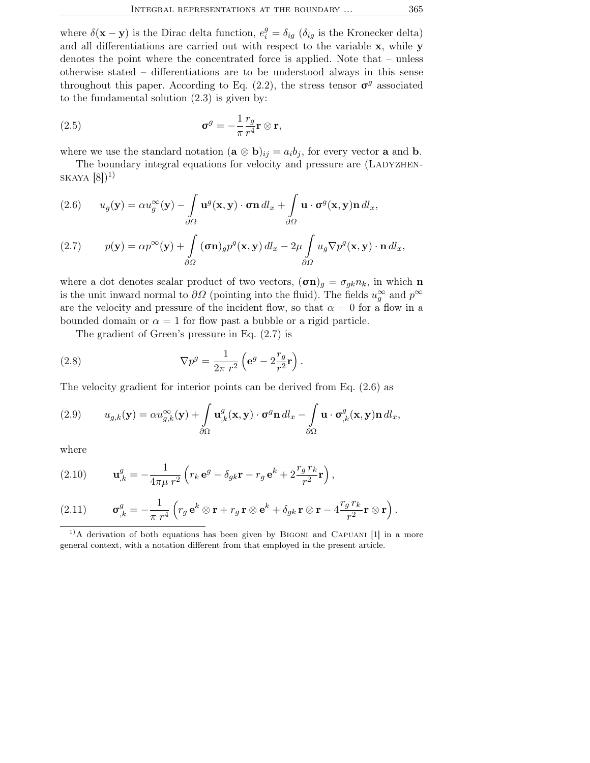where  $\delta(\mathbf{x} - \mathbf{y})$  is the Dirac delta function,  $e_i^g = \delta_{ig}$  ( $\delta_{ig}$  is the Kronecker delta) and all differentiations are carried out with respect to the variable x, while y denotes the point where the concentrated force is applied. Note that – unless otherwise stated – differentiations are to be understood always in this sense throughout this paper. According to Eq.  $(2.2)$ , the stress tensor  $\sigma<sup>g</sup>$  associated to the fundamental solution (2.3) is given by:

(2.5) 
$$
\boldsymbol{\sigma}^g = -\frac{1}{\pi} \frac{r_g}{r^4} \mathbf{r} \otimes \mathbf{r},
$$

where we use the standard notation  $(\mathbf{a} \otimes \mathbf{b})_{ij} = a_i b_j$ , for every vector **a** and **b**.

The boundary integral equations for velocity and pressure are (LADYZHEN- $SKAYA [8])^{1}$ 

(2.6) 
$$
u_g(\mathbf{y}) = \alpha u_g^{\infty}(\mathbf{y}) - \int \mathbf{u}^g(\mathbf{x}, \mathbf{y}) \cdot \boldsymbol{\sigma} \mathbf{n} \, dl_x + \int \mathbf{u} \cdot \boldsymbol{\sigma}^g(\mathbf{x}, \mathbf{y}) \mathbf{n} \, dl_x,
$$

(2.7) 
$$
p(\mathbf{y}) = \alpha p^{\infty}(\mathbf{y}) + \int_{\partial \Omega} (\sigma \mathbf{n})_g p^g(\mathbf{x}, \mathbf{y}) dl_x - 2\mu \int_{\partial \Omega} u_g \nabla p^g(\mathbf{x}, \mathbf{y}) \cdot \mathbf{n} dl_x,
$$

where a dot denotes scalar product of two vectors,  $(\sigma n)_g = \sigma_{gk} n_k$ , in which n is the unit inward normal to  $\partial\Omega$  (pointing into the fluid). The fields  $u_g^{\infty}$  and  $p^{\infty}$ are the velocity and pressure of the incident flow, so that  $\alpha = 0$  for a flow in a bounded domain or  $\alpha = 1$  for flow past a bubble or a rigid particle.

The gradient of Green's pressure in Eq. (2.7) is

(2.8) 
$$
\nabla p^g = \frac{1}{2\pi r^2} \left( \mathbf{e}^g - 2\frac{r_g}{r^2} \mathbf{r} \right).
$$

The velocity gradient for interior points can be derived from Eq. (2.6) as

(2.9) 
$$
u_{g,k}(\mathbf{y}) = \alpha u_{g,k}^{\infty}(\mathbf{y}) + \int_{\partial\Omega} \mathbf{u}_{,k}^{g}(\mathbf{x}, \mathbf{y}) \cdot \boldsymbol{\sigma}^{g} \mathbf{n} \, dl_x - \int_{\partial\Omega} \mathbf{u} \cdot \boldsymbol{\sigma}_{,k}^{g}(\mathbf{x}, \mathbf{y}) \mathbf{n} \, dl_x,
$$

where

(2.10) 
$$
\mathbf{u}_{,k}^{g} = -\frac{1}{4\pi\mu r^2} \left( r_k \mathbf{e}^g - \delta_{gk} \mathbf{r} - r_g \mathbf{e}^k + 2 \frac{r_g r_k}{r^2} \mathbf{r} \right),
$$

(2.11) 
$$
\boldsymbol{\sigma}_{,k}^g = -\frac{1}{\pi r^4} \left( r_g \,\mathbf{e}^k \otimes \mathbf{r} + r_g \,\mathbf{r} \otimes \mathbf{e}^k + \delta_{gk} \,\mathbf{r} \otimes \mathbf{r} - 4 \frac{r_g \, r_k}{r^2} \mathbf{r} \otimes \mathbf{r} \right).
$$

 $1)$ A derivation of both equations has been given by BIGONI and CAPUANI [1] in a more general context, with a notation different from that employed in the present article.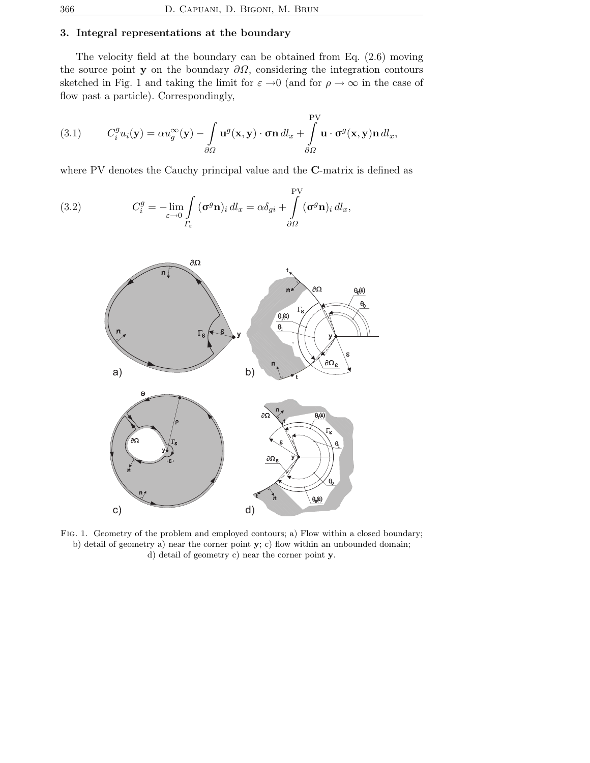### 3. Integral representations at the boundary

The velocity field at the boundary can be obtained from Eq. (2.6) moving the source point y on the boundary  $\partial\Omega$ , considering the integration contours sketched in Fig. 1 and taking the limit for  $\varepsilon \to 0$  (and for  $\rho \to \infty$  in the case of flow past a particle). Correspondingly,

(3.1) 
$$
C_i^g u_i(\mathbf{y}) = \alpha u_g^{\infty}(\mathbf{y}) - \int \mathbf{u}^g(\mathbf{x}, \mathbf{y}) \cdot \boldsymbol{\sigma} \mathbf{n} \, d l_x + \int \limits_{\partial \Omega} \mathbf{u} \cdot \boldsymbol{\sigma}^g(\mathbf{x}, \mathbf{y}) \mathbf{n} \, d l_x,
$$

where PV denotes the Cauchy principal value and the C-matrix is defined as

(3.2) 
$$
C_i^g = -\lim_{\varepsilon \to 0} \int_{\Gamma_{\varepsilon}} (\sigma^g \mathbf{n})_i dl_x = \alpha \delta_{gi} + \int_{\partial \Omega} (\sigma^g \mathbf{n})_i dl_x,
$$



Fig. 1. Geometry of the problem and employed contours; a) Flow within a closed boundary; b) detail of geometry a) near the corner point  $\mathbf{y}$ ; c) flow within an unbounded domain; d) detail of geometry c) near the corner point y.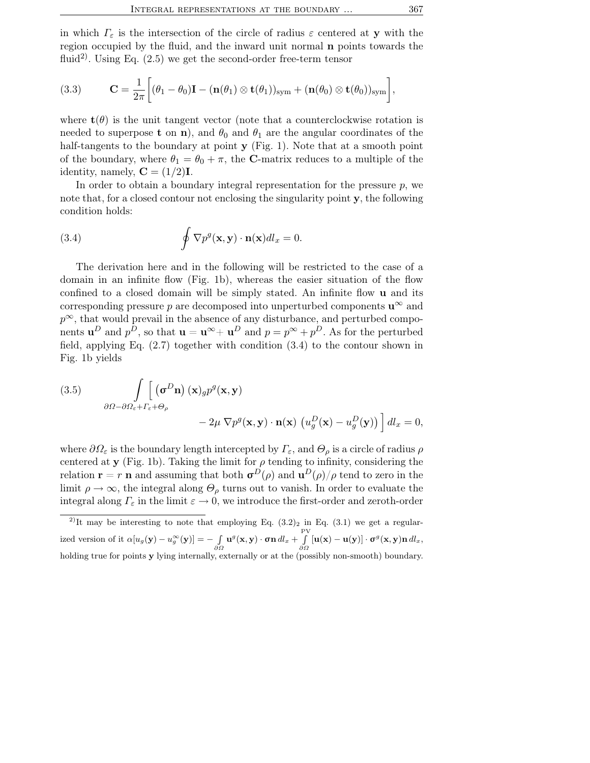in which  $\Gamma_{\varepsilon}$  is the intersection of the circle of radius  $\varepsilon$  centered at y with the region occupied by the fluid, and the inward unit normal n points towards the fluid<sup>2)</sup>. Using Eq.  $(2.5)$  we get the second-order free-term tensor

(3.3) 
$$
\mathbf{C} = \frac{1}{2\pi} \bigg[ (\theta_1 - \theta_0) \mathbf{I} - (\mathbf{n}(\theta_1) \otimes \mathbf{t}(\theta_1))_{\text{sym}} + (\mathbf{n}(\theta_0) \otimes \mathbf{t}(\theta_0))_{\text{sym}} \bigg],
$$

where  $\mathbf{t}(\theta)$  is the unit tangent vector (note that a counterclockwise rotation is needed to superpose **t** on **n**), and  $\theta_0$  and  $\theta_1$  are the angular coordinates of the half-tangents to the boundary at point **y** (Fig. 1). Note that at a smooth point of the boundary, where  $\theta_1 = \theta_0 + \pi$ , the C-matrix reduces to a multiple of the identity, namely,  $C = (1/2)I$ .

In order to obtain a boundary integral representation for the pressure  $p$ , we note that, for a closed contour not enclosing the singularity point y, the following condition holds:

(3.4) 
$$
\oint \nabla p^{g}(\mathbf{x}, \mathbf{y}) \cdot \mathbf{n}(\mathbf{x}) dl_x = 0.
$$

The derivation here and in the following will be restricted to the case of a domain in an infinite flow (Fig. 1b), whereas the easier situation of the flow confined to a closed domain will be simply stated. An infinite flow u and its corresponding pressure p are decomposed into unperturbed components  $\mathbf{u}^{\infty}$  and  $p^{\infty}$ , that would prevail in the absence of any disturbance, and perturbed components  $\mathbf{u}^D$  and  $p^{\tilde{D}}$ , so that  $\mathbf{u} = \mathbf{u}^{\infty} + \mathbf{u}^D$  and  $p = p^{\infty} + p^{\tilde{D}}$ . As for the perturbed field, applying Eq. (2.7) together with condition (3.4) to the contour shown in Fig. 1b yields

(3.5) 
$$
\int\limits_{\partial\Omega-\partial\Omega_{\varepsilon}+\Gamma_{\varepsilon}+\Theta_{\rho}} \left[ \left( \sigma^{D}\mathbf{n} \right) (\mathbf{x})_{g} p^{g} (\mathbf{x}, \mathbf{y}) -2\mu \nabla p^{g} (\mathbf{x}, \mathbf{y}) \cdot \mathbf{n} (\mathbf{x}) \left( u_{g}^{D} (\mathbf{x}) - u_{g}^{D} (\mathbf{y}) \right) \right] dl_{x} = 0,
$$

where  $\partial\Omega_{\varepsilon}$  is the boundary length intercepted by  $\Gamma_{\varepsilon}$ , and  $\Theta_{\rho}$  is a circle of radius  $\rho$ centered at y (Fig. 1b). Taking the limit for  $\rho$  tending to infinity, considering the relation  $\mathbf{r} = r \mathbf{n}$  and assuming that both  $\mathbf{\sigma}^D(\rho)$  and  $\mathbf{u}^D(\rho)/\rho$  tend to zero in the limit  $\rho \to \infty$ , the integral along  $\Theta_{\rho}$  turns out to vanish. In order to evaluate the integral along  $\Gamma_{\varepsilon}$  in the limit  $\varepsilon \to 0$ , we introduce the first-order and zeroth-order

<sup>2)</sup>It may be interesting to note that employing Eq.  $(3.2)_2$  in Eq.  $(3.1)$  we get a regular- $\text{~i} \text{~i} \text{~i} \text{~i} \text{~i} \text{~i} \text{~i} \text{~i} \text{~i} \text{~i} \text{~i} \text{~j} \text{~j} \text{~j} \text{~j} = - \smallint \limits_{\partial \Omega} \textbf{u}^g(\textbf{x},\textbf{y}) \cdot \textbf{\sigma} \textbf{n} \, d l_x + \smallint \limits_{\partial \Omega} \left[ \textbf{u}(\textbf{x}) - \textbf{u}(\textbf{y}) \right] \cdot \textbf{\sigma}^g(\textbf{x},\textbf{y}) \textbf{n} \, d l_x,$  $\int\limits_{\partial\Omega}\left[\mathbf{u}(\mathbf{x})-\mathbf{u}(\mathbf{y})\right]\cdot\boldsymbol{\sigma}^{g}(\mathbf{x},\mathbf{y})\mathbf{n}\,dl_x,$ holding true for points y lying internally, externally or at the (possibly non-smooth) boundary.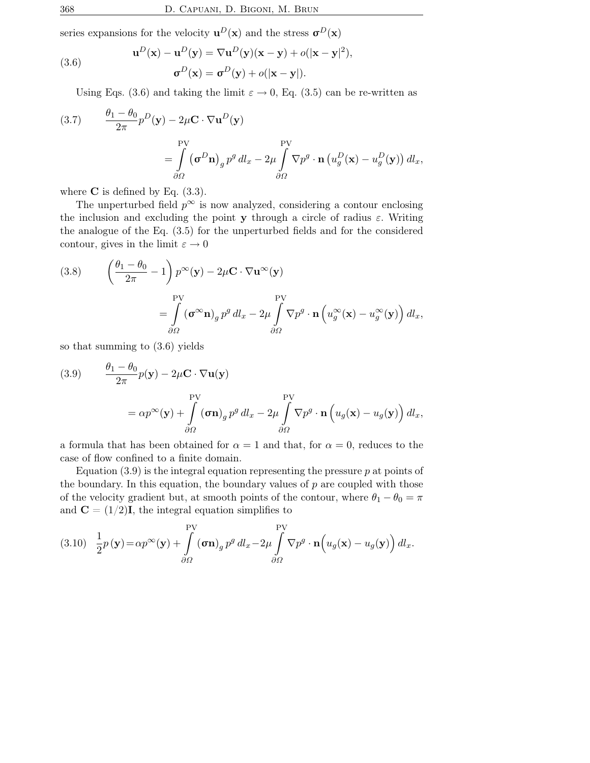series expansions for the velocity  $\mathbf{u}^D(\mathbf{x})$  and the stress  $\mathbf{\sigma}^D(\mathbf{x})$ 

(3.6) 
$$
\mathbf{u}^{D}(\mathbf{x}) - \mathbf{u}^{D}(\mathbf{y}) = \nabla \mathbf{u}^{D}(\mathbf{y})(\mathbf{x} - \mathbf{y}) + o(|\mathbf{x} - \mathbf{y}|^{2}),
$$

$$
\sigma^{D}(\mathbf{x}) = \sigma^{D}(\mathbf{y}) + o(|\mathbf{x} - \mathbf{y}|).
$$

Using Eqs. (3.6) and taking the limit  $\varepsilon \to 0$ , Eq. (3.5) can be re-written as

(3.7) 
$$
\frac{\theta_1 - \theta_0}{2\pi} p^D(\mathbf{y}) - 2\mu \mathbf{C} \cdot \nabla \mathbf{u}^D(\mathbf{y})
$$

$$
= \int_{\partial\Omega} (\sigma^D \mathbf{n})_g p^g dl_x - 2\mu \int_{\partial\Omega} \nabla p^g \cdot \mathbf{n} \left( u_g^D(\mathbf{x}) - u_g^D(\mathbf{y}) \right) dl_x,
$$

where  $C$  is defined by Eq.  $(3.3)$ .

The unperturbed field  $p^{\infty}$  is now analyzed, considering a contour enclosing the inclusion and excluding the point y through a circle of radius  $\varepsilon$ . Writing the analogue of the Eq. (3.5) for the unperturbed fields and for the considered contour, gives in the limit  $\varepsilon \to 0$ 

(3.8) 
$$
\begin{aligned}\n\left(\frac{\theta_1 - \theta_0}{2\pi} - 1\right) p^{\infty}(\mathbf{y}) - 2\mu \mathbf{C} \cdot \nabla \mathbf{u}^{\infty}(\mathbf{y}) \\
= \int_{\partial\Omega} (\mathbf{\sigma}^{\infty} \mathbf{n})_g p^g \, dl_x - 2\mu \int_{\partial\Omega} \nabla p^g \cdot \mathbf{n} \left(u_g^{\infty}(\mathbf{x}) - u_g^{\infty}(\mathbf{y})\right) dl_x,\n\end{aligned}
$$

so that summing to (3.6) yields

(3.9) 
$$
\frac{\theta_1 - \theta_0}{2\pi} p(\mathbf{y}) - 2\mu \mathbf{C} \cdot \nabla \mathbf{u}(\mathbf{y})
$$

$$
= \alpha p^{\infty}(\mathbf{y}) + \int_{\partial \Omega} \left( \sigma \mathbf{n} \right)_{g} p^g \, dl_x - 2\mu \int_{\partial \Omega} \nabla p^g \cdot \mathbf{n} \left( u_g(\mathbf{x}) - u_g(\mathbf{y}) \right) dl_x,
$$

a formula that has been obtained for  $\alpha = 1$  and that, for  $\alpha = 0$ , reduces to the case of flow confined to a finite domain.

Equation  $(3.9)$  is the integral equation representing the pressure  $p$  at points of the boundary. In this equation, the boundary values of  $p$  are coupled with those of the velocity gradient but, at smooth points of the contour, where  $\theta_1 - \theta_0 = \pi$ and  $\mathbf{C} = (1/2)\mathbf{I}$ , the integral equation simplifies to

(3.10) 
$$
\frac{1}{2}p(\mathbf{y}) = \alpha p^{\infty}(\mathbf{y}) + \int_{\partial\Omega}^{PV} (\sigma \mathbf{n})_g p^g dl_x - 2\mu \int_{\partial\Omega}^{PV} \nabla p^g \cdot \mathbf{n} \left( u_g(\mathbf{x}) - u_g(\mathbf{y}) \right) dl_x.
$$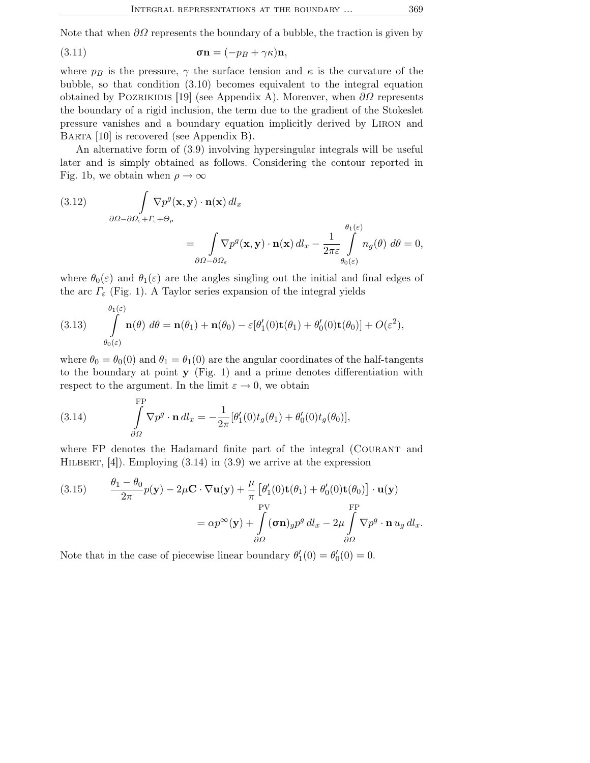Note that when  $\partial\Omega$  represents the boundary of a bubble, the traction is given by

(3.11) 
$$
\boldsymbol{\sigma}\mathbf{n} = (-p_B + \gamma \kappa)\mathbf{n},
$$

where  $p_B$  is the pressure,  $\gamma$  the surface tension and  $\kappa$  is the curvature of the bubble, so that condition (3.10) becomes equivalent to the integral equation obtained by POZRIKIDIS [19] (see Appendix A). Moreover, when  $\partial\Omega$  represents the boundary of a rigid inclusion, the term due to the gradient of the Stokeslet pressure vanishes and a boundary equation implicitly derived by Liron and Barta [10] is recovered (see Appendix B).

An alternative form of (3.9) involving hypersingular integrals will be useful later and is simply obtained as follows. Considering the contour reported in Fig. 1b, we obtain when  $\rho \to \infty$ 

(3.12) 
$$
\int_{\partial\Omega-\partial\Omega_{\varepsilon}+\Gamma_{\varepsilon}+\Theta_{\rho}} \nabla p^g(\mathbf{x}, \mathbf{y}) \cdot \mathbf{n}(\mathbf{x}) \, d l_x = \int_{\partial\Omega-\partial\Omega_{\varepsilon}} \nabla p^g(\mathbf{x}, \mathbf{y}) \cdot \mathbf{n}(\mathbf{x}) \, d l_x - \frac{1}{2\pi\varepsilon} \int_{\theta_0(\varepsilon)}^{\theta_1(\varepsilon)} n_g(\theta) \, d\theta = 0,
$$

where  $\theta_0(\varepsilon)$  and  $\theta_1(\varepsilon)$  are the angles singling out the initial and final edges of the arc  $\Gamma_{\varepsilon}$  (Fig. 1). A Taylor series expansion of the integral yields

(3.13) 
$$
\int_{\theta_0(\varepsilon)}^{\theta_1(\varepsilon)} \mathbf{n}(\theta) d\theta = \mathbf{n}(\theta_1) + \mathbf{n}(\theta_0) - \varepsilon[\theta'_1(0)\mathbf{t}(\theta_1) + \theta'_0(0)\mathbf{t}(\theta_0)] + O(\varepsilon^2),
$$

where  $\theta_0 = \theta_0(0)$  and  $\theta_1 = \theta_1(0)$  are the angular coordinates of the half-tangents to the boundary at point  $\mathbf{y}$  (Fig. 1) and a prime denotes differentiation with respect to the argument. In the limit  $\varepsilon \to 0$ , we obtain

(3.14) 
$$
\int_{\partial\Omega}^{\text{FP}} \nabla p^g \cdot \mathbf{n} \, dl_x = -\frac{1}{2\pi} [\theta'_1(0) t_g(\theta_1) + \theta'_0(0) t_g(\theta_0)],
$$

where FP denotes the Hadamard finite part of the integral (Courant and HILBERT,  $[4]$ ). Employing  $(3.14)$  in  $(3.9)$  we arrive at the expression

(3.15) 
$$
\frac{\theta_1 - \theta_0}{2\pi} p(\mathbf{y}) - 2\mu \mathbf{C} \cdot \nabla \mathbf{u}(\mathbf{y}) + \frac{\mu}{\pi} \left[ \theta'_1(0) \mathbf{t}(\theta_1) + \theta'_0(0) \mathbf{t}(\theta_0) \right] \cdot \mathbf{u}(\mathbf{y})
$$

$$
= \alpha p^{\infty}(\mathbf{y}) + \int_{\partial \Omega} (\mathbf{\sigma} \mathbf{n})_g p^g \, dl_x - 2\mu \int_{\partial \Omega} \nabla p^g \cdot \mathbf{n} \, u_g \, dl_x.
$$

Note that in the case of piecewise linear boundary  $\theta_1'$  $'_{1}(0) = \theta'_{0}$  $'_{0}(0)=0.$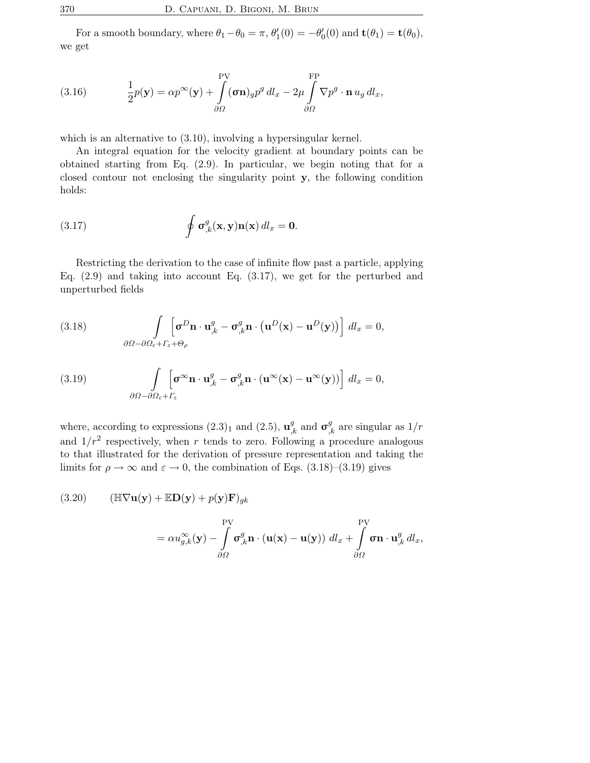For a smooth boundary, where  $\theta_1 - \theta_0 = \pi$ ,  $\theta'_1$  $l'_1(0) = -\theta'_0$  $\mathbf{t}'_0(0)$  and  $\mathbf{t}(\theta_1) = \mathbf{t}(\theta_0),$ we get

(3.16) 
$$
\frac{1}{2}p(\mathbf{y}) = \alpha p^{\infty}(\mathbf{y}) + \int_{\partial\Omega}^{PV} (\sigma \mathbf{n})_g p^g dl_x - 2\mu \int_{\partial\Omega} \nabla p^g \cdot \mathbf{n} u_g dl_x,
$$

which is an alternative to (3.10), involving a hypersingular kernel.

An integral equation for the velocity gradient at boundary points can be obtained starting from Eq. (2.9). In particular, we begin noting that for a closed contour not enclosing the singularity point y, the following condition holds:

(3.17) 
$$
\oint \sigma_{,k}^g(\mathbf{x}, \mathbf{y}) \mathbf{n}(\mathbf{x}) dl_x = \mathbf{0}.
$$

Restricting the derivation to the case of infinite flow past a particle, applying Eq. (2.9) and taking into account Eq. (3.17), we get for the perturbed and unperturbed fields

(3.18) 
$$
\int\limits_{\partial\Omega-\partial\Omega_{\varepsilon}+\Gamma_{\varepsilon}+\Theta_{\rho}} \left[\boldsymbol{\sigma}^D \mathbf{n}\cdot \mathbf{u}^g_{,k} - \boldsymbol{\sigma}^g_{,k} \mathbf{n}\cdot (\mathbf{u}^D(\mathbf{x}) - \mathbf{u}^D(\mathbf{y}))\right] \, dl_x = 0,
$$

(3.19) 
$$
\int_{\partial \Omega - \partial \Omega_{\varepsilon} + \Gamma_{\varepsilon}} \left[ \sigma^{\infty} \mathbf{n} \cdot \mathbf{u}_{,k}^{g} - \sigma_{,k}^{g} \mathbf{n} \cdot (\mathbf{u}^{\infty}(\mathbf{x}) - \mathbf{u}^{\infty}(\mathbf{y})) \right] dl_{x} = 0,
$$

where, according to expressions  $(2.3)_1$  and  $(2.5)$ ,  $\mathbf{u}_{k}^{g}$  and  $\boldsymbol{\sigma}_{k}^{g}$  are singular as  $1/r$ and  $1/r^2$  respectively, when r tends to zero. Following a procedure analogous to that illustrated for the derivation of pressure representation and taking the limits for  $\rho \to \infty$  and  $\varepsilon \to 0$ , the combination of Eqs. (3.18)–(3.19) gives

(3.20) 
$$
(\mathbb{H}\nabla\mathbf{u}(\mathbf{y}) + \mathbb{E}\mathbf{D}(\mathbf{y}) + p(\mathbf{y})\mathbf{F})_{gk}
$$

$$
= \alpha u_{g,k}^{\infty}(\mathbf{y}) - \int\limits_{\partial\Omega}^{\text{PV}} \sigma_{,k}^{g} \mathbf{n} \cdot (\mathbf{u}(\mathbf{x}) - \mathbf{u}(\mathbf{y})) \ d l_x + \int\limits_{\partial\Omega}^{\text{PV}} \sigma \mathbf{n} \cdot \mathbf{u}_{,k}^{g} \ d l_x,
$$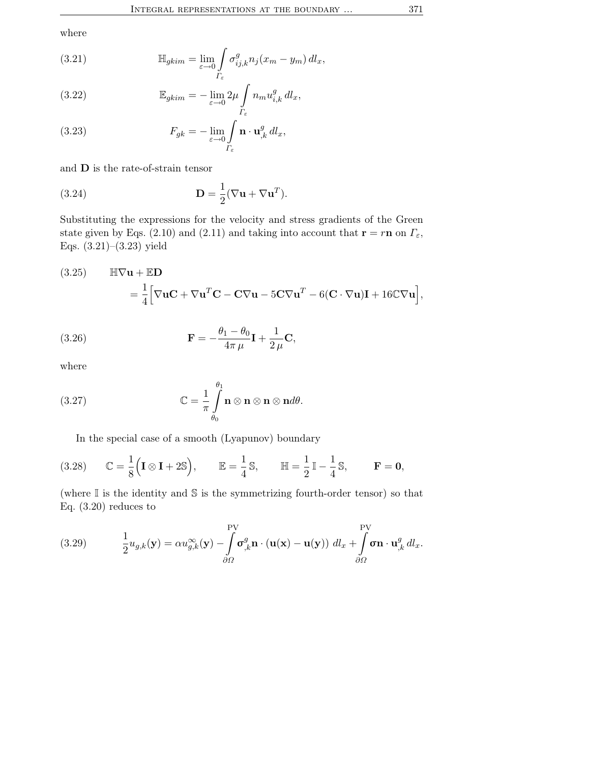where

(3.21) 
$$
\mathbb{H}_{gkim} = \lim_{\varepsilon \to 0} \int_{\Gamma_{\varepsilon}} \sigma_{ij,k}^g n_j (x_m - y_m) \, dl_x,
$$

(3.22) 
$$
\mathbb{E}_{gkim} = -\lim_{\varepsilon \to 0} 2\mu \int_{\Gamma_{\varepsilon}} n_m u_{i,k}^g \, dl_x,
$$

(3.23) 
$$
F_{gk} = -\lim_{\varepsilon \to 0} \int_{\Gamma_{\varepsilon}} \mathbf{n} \cdot \mathbf{u}_{,k}^{g} dl_x,
$$

and D is the rate-of-strain tensor

(3.24) 
$$
\mathbf{D} = \frac{1}{2} (\nabla \mathbf{u} + \nabla \mathbf{u}^T).
$$

Substituting the expressions for the velocity and stress gradients of the Green state given by Eqs. (2.10) and (2.11) and taking into account that  $\mathbf{r} = r\mathbf{n}$  on  $\Gamma_{\varepsilon}$ , Eqs. (3.21)–(3.23) yield

(3.25) 
$$
\mathbb{H}\nabla \mathbf{u} + \mathbb{E}\mathbf{D} = \frac{1}{4} \Big[ \nabla \mathbf{u} \mathbf{C} + \nabla \mathbf{u}^T \mathbf{C} - \mathbf{C} \nabla \mathbf{u} - 5\mathbf{C} \nabla \mathbf{u}^T - 6(\mathbf{C} \cdot \nabla \mathbf{u})\mathbf{I} + 16\mathbb{C} \nabla \mathbf{u} \Big],
$$

(3.26) 
$$
\mathbf{F} = -\frac{\theta_1 - \theta_0}{4\pi \mu} \mathbf{I} + \frac{1}{2\mu} \mathbf{C},
$$

where

(3.27) 
$$
\mathbb{C} = \frac{1}{\pi} \int_{\theta_0}^{\theta_1} \mathbf{n} \otimes \mathbf{n} \otimes \mathbf{n} \otimes \mathbf{n} d\theta.
$$

In the special case of a smooth (Lyapunov) boundary

(3.28) 
$$
\mathbb{C} = \frac{1}{8} \left( \mathbf{I} \otimes \mathbf{I} + 2 \mathbb{S} \right), \qquad \mathbb{E} = \frac{1}{4} \mathbb{S}, \qquad \mathbb{H} = \frac{1}{2} \mathbb{I} - \frac{1}{4} \mathbb{S}, \qquad \mathbf{F} = \mathbf{0},
$$

(where  $\mathbb I$  is the identity and  $\mathbb S$  is the symmetrizing fourth-order tensor) so that Eq. (3.20) reduces to

(3.29) 
$$
\frac{1}{2}u_{g,k}(\mathbf{y}) = \alpha u_{g,k}^{\infty}(\mathbf{y}) - \int_{\partial\Omega} \mathbf{\sigma}_{,k}^{g} \mathbf{n} \cdot (\mathbf{u}(\mathbf{x}) - \mathbf{u}(\mathbf{y})) \, dl_x + \int_{\partial\Omega} \mathbf{\sigma} \mathbf{n} \cdot \mathbf{u}_{,k}^{g} \, dl_x.
$$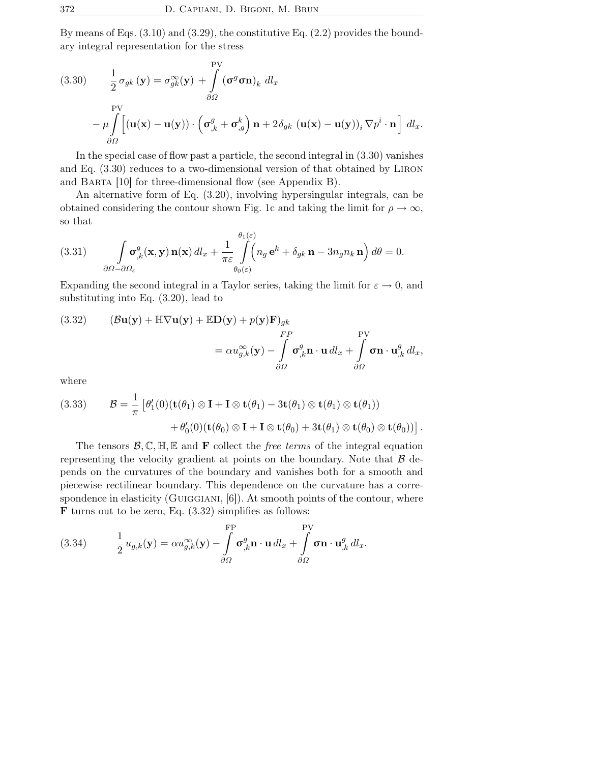By means of Eqs.  $(3.10)$  and  $(3.29)$ , the constitutive Eq.  $(2.2)$  provides the boundary integral representation for the stress

(3.30) 
$$
\frac{1}{2} \sigma_{gk} (\mathbf{y}) = \sigma_{gk}^{\infty} (\mathbf{y}) + \int_{\partial \Omega} (\mathbf{\sigma}^g \mathbf{\sigma} \mathbf{n})_k dl_x
$$

$$
- \mu \int_{\partial \Omega} \left[ (\mathbf{u}(\mathbf{x}) - \mathbf{u}(\mathbf{y})) \cdot (\mathbf{\sigma}_{,k}^g + \mathbf{\sigma}_{,g}^k) \mathbf{n} + 2 \delta_{gk} (\mathbf{u}(\mathbf{x}) - \mathbf{u}(\mathbf{y}))_i \nabla p^i \cdot \mathbf{n} \right] dl_x.
$$

In the special case of flow past a particle, the second integral in (3.30) vanishes and Eq. (3.30) reduces to a two-dimensional version of that obtained by Liron and Barta [10] for three-dimensional flow (see Appendix B).

An alternative form of Eq. (3.20), involving hypersingular integrals, can be obtained considering the contour shown Fig. 1c and taking the limit for  $\rho \to \infty$ , so that

(3.31) 
$$
\int_{\partial\Omega-\partial\Omega_{\varepsilon}} \sigma_{,k}^{g}(\mathbf{x}, \mathbf{y}) \mathbf{n}(\mathbf{x}) dl_{x} + \frac{1}{\pi \varepsilon} \int_{\theta_{0}(\varepsilon)}^{\theta_{1}(\varepsilon)} \left(n_{g} e^{k} + \delta_{gk} \mathbf{n} - 3n_{g} n_{k} \mathbf{n}\right) d\theta = 0.
$$

Expanding the second integral in a Taylor series, taking the limit for  $\varepsilon \to 0$ , and substituting into Eq. (3.20), lead to

(3.32) 
$$
(\mathcal{B}\mathbf{u}(\mathbf{y}) + \mathbb{H}\nabla\mathbf{u}(\mathbf{y}) + \mathbb{E}\mathbf{D}(\mathbf{y}) + p(\mathbf{y})\mathbf{F})_{gk} = \alpha u_{g,k}^{\infty}(\mathbf{y}) - \int_{\partial\Omega} \sigma_{,k}^{g} \mathbf{n} \cdot \mathbf{u} \, d l_x + \int_{\partial\Omega} \sigma \mathbf{n} \cdot \mathbf{u}_{,k}^{g} \, d l_x,
$$

where

(3.33) 
$$
\mathcal{B} = \frac{1}{\pi} \left[ \theta'_1(0) (\mathbf{t}(\theta_1) \otimes \mathbf{I} + \mathbf{I} \otimes \mathbf{t}(\theta_1) - 3\mathbf{t}(\theta_1) \otimes \mathbf{t}(\theta_1)) + \theta'_0(0) (\mathbf{t}(\theta_0) \otimes \mathbf{I} + \mathbf{I} \otimes \mathbf{t}(\theta_0) + 3\mathbf{t}(\theta_1) \otimes \mathbf{t}(\theta_0) \otimes \mathbf{t}(\theta_0)) \right]
$$

.

The tensors  $\mathcal{B}, \mathbb{C}, \mathbb{H}, \mathbb{E}$  and **F** collect the *free terms* of the integral equation representing the velocity gradient at points on the boundary. Note that  $\beta$  depends on the curvatures of the boundary and vanishes both for a smooth and piecewise rectilinear boundary. This dependence on the curvature has a correspondence in elasticity (GUIGGIANI,  $[6]$ ). At smooth points of the contour, where **F** turns out to be zero, Eq.  $(3.32)$  simplifies as follows:

(3.34) 
$$
\frac{1}{2}u_{g,k}(\mathbf{y}) = \alpha u_{g,k}^{\infty}(\mathbf{y}) - \int_{\partial\Omega} \sigma_{,k}^g \mathbf{n} \cdot \mathbf{u} \, dl_x + \int_{\partial\Omega} \sigma \mathbf{n} \cdot \mathbf{u}_{,k}^g \, dl_x.
$$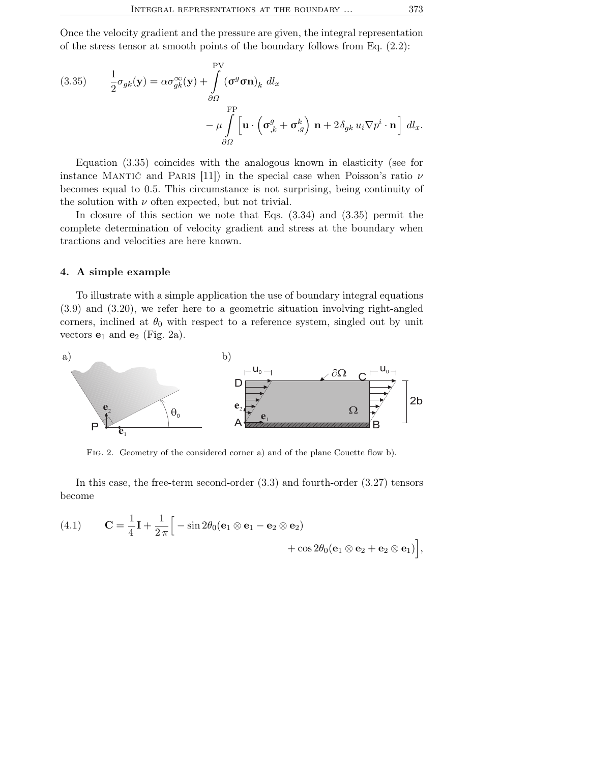Once the velocity gradient and the pressure are given, the integral representation of the stress tensor at smooth points of the boundary follows from Eq.  $(2.2)$ :

(3.35) 
$$
\frac{1}{2}\sigma_{gk}(\mathbf{y}) = \alpha \sigma_{gk}^{\infty}(\mathbf{y}) + \int_{\partial\Omega}^{\text{PV}} (\sigma^g \sigma \mathbf{n})_k \, dl_x \n- \mu \int_{\partial\Omega}^{\text{FP}} \left[ \mathbf{u} \cdot \left( \sigma_{,k}^g + \sigma_{,g}^k \right) \mathbf{n} + 2 \delta_{gk} u_i \nabla p^i \cdot \mathbf{n} \right] \, dl_x.
$$

Equation (3.35) coincides with the analogous known in elasticity (see for instance MANTIC and PARIS [11]) in the special case when Poisson's ratio  $\nu$ becomes equal to 0.5. This circumstance is not surprising, being continuity of the solution with  $\nu$  often expected, but not trivial.

In closure of this section we note that Eqs. (3.34) and (3.35) permit the complete determination of velocity gradient and stress at the boundary when tractions and velocities are here known.

#### 4. A simple example

To illustrate with a simple application the use of boundary integral equations (3.9) and (3.20), we refer here to a geometric situation involving right-angled corners, inclined at  $\theta_0$  with respect to a reference system, singled out by unit vectors  $e_1$  and  $e_2$  (Fig. 2a).



Fig. 2. Geometry of the considered corner a) and of the plane Couette flow b).

In this case, the free-term second-order (3.3) and fourth-order (3.27) tensors become

(4.1) 
$$
\mathbf{C} = \frac{1}{4}\mathbf{I} + \frac{1}{2\pi} \Big[ -\sin 2\theta_0 (\mathbf{e}_1 \otimes \mathbf{e}_1 - \mathbf{e}_2 \otimes \mathbf{e}_2) + \cos 2\theta_0 (\mathbf{e}_1 \otimes \mathbf{e}_2 + \mathbf{e}_2 \otimes \mathbf{e}_1) \Big],
$$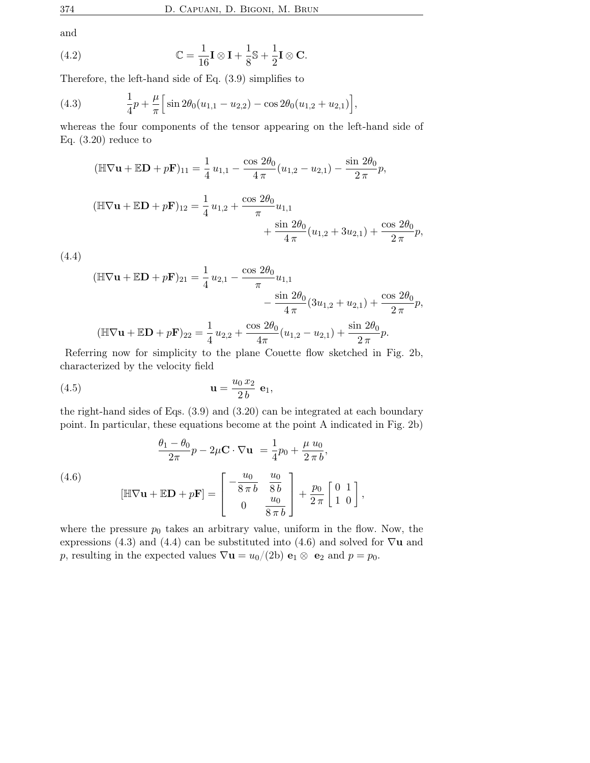and

(4.2) 
$$
\mathbb{C} = \frac{1}{16} \mathbf{I} \otimes \mathbf{I} + \frac{1}{8} \mathbb{S} + \frac{1}{2} \mathbf{I} \otimes \mathbf{C}.
$$

Therefore, the left-hand side of Eq. (3.9) simplifies to

(4.3) 
$$
\frac{1}{4}p + \frac{\mu}{\pi} \Big[ \sin 2\theta_0 (u_{1,1} - u_{2,2}) - \cos 2\theta_0 (u_{1,2} + u_{2,1}) \Big],
$$

whereas the four components of the tensor appearing on the left-hand side of Eq. (3.20) reduce to

$$
(\mathbb{H}\nabla\mathbf{u} + \mathbb{E}\mathbf{D} + p\mathbf{F})_{11} = \frac{1}{4}u_{1,1} - \frac{\cos 2\theta_0}{4\pi}(u_{1,2} - u_{2,1}) - \frac{\sin 2\theta_0}{2\pi}p,
$$
  

$$
(\mathbb{H}\nabla\mathbf{u} + \mathbb{E}\mathbf{D} + p\mathbf{F})_{12} = \frac{1}{4}u_{1,2} + \frac{\cos 2\theta_0}{\pi}u_{1,1} + \frac{\sin 2\theta_0}{4\pi}(u_{1,2} + 3u_{2,1}) + \frac{\cos 2\theta_0}{2\pi}p,
$$

(4.4)

$$
\begin{aligned} (\mathbb{H}\nabla \mathbf{u} + \mathbb{E}\mathbf{D} + p\mathbf{F})_{21} &= \frac{1}{4}u_{2,1} - \frac{\cos 2\theta_0}{\pi}u_{1,1} \\ &- \frac{\sin 2\theta_0}{4\pi} (3u_{1,2} + u_{2,1}) + \frac{\cos 2\theta_0}{2\pi}p, \\ (\mathbb{H}\nabla \mathbf{u} + \mathbb{E}\mathbf{D} + p\mathbf{F})_{22} &= \frac{1}{4}u_{2,2} + \frac{\cos 2\theta_0}{4\pi} (u_{1,2} - u_{2,1}) + \frac{\sin 2\theta_0}{2\pi}p. \end{aligned}
$$

Referring now for simplicity to the plane Couette flow sketched in Fig. 2b, characterized by the velocity field

$$
\mathbf{u} = \frac{u_0 x_2}{2 b} \mathbf{e}_1,
$$

the right-hand sides of Eqs. (3.9) and (3.20) can be integrated at each boundary point. In particular, these equations become at the point A indicated in Fig. 2b)

(4.6)  
\n
$$
\frac{\theta_1 - \theta_0}{2\pi} p - 2\mu \mathbf{C} \cdot \nabla \mathbf{u} = \frac{1}{4} p_0 + \frac{\mu u_0}{2\pi b},
$$
\n
$$
[\mathbb{H} \nabla \mathbf{u} + \mathbb{E} \mathbf{D} + p \mathbf{F}] = \begin{bmatrix} -\frac{u_0}{8\pi b} & \frac{u_0}{8b} \\ 0 & \frac{u_0}{8\pi b} \end{bmatrix} + \frac{p_0}{2\pi} \begin{bmatrix} 0 & 1 \\ 1 & 0 \end{bmatrix},
$$

where the pressure  $p_0$  takes an arbitrary value, uniform in the flow. Now, the expressions (4.3) and (4.4) can be substituted into (4.6) and solved for  $\nabla$ **u** and p, resulting in the expected values  $\nabla \mathbf{u} = u_0/(2b) \mathbf{e}_1 \otimes \mathbf{e}_2$  and  $p = p_0$ .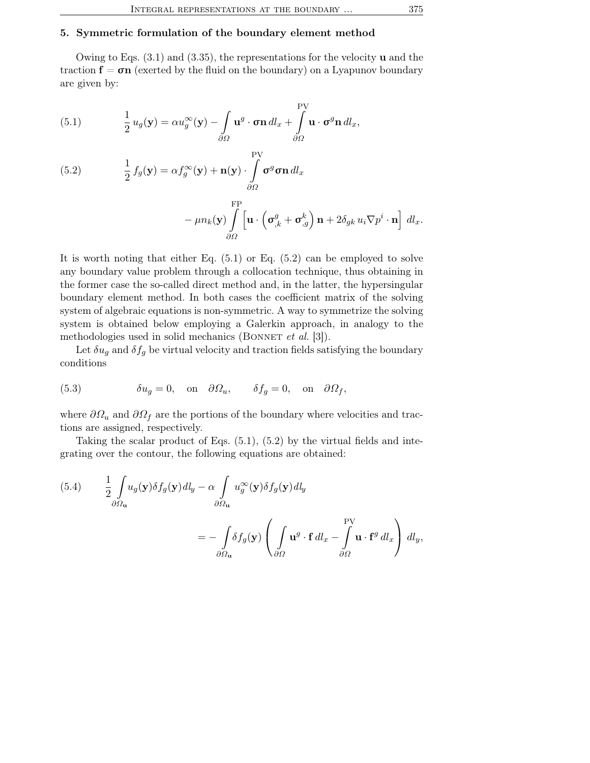## 5. Symmetric formulation of the boundary element method

Owing to Eqs. (3.1) and (3.35), the representations for the velocity u and the traction  $f = \sigma n$  (exerted by the fluid on the boundary) on a Lyapunov boundary are given by:

(5.1) 
$$
\frac{1}{2} u_g(\mathbf{y}) = \alpha u_g^{\infty}(\mathbf{y}) - \int_{\partial \Omega} \mathbf{u}^g \cdot \boldsymbol{\sigma} \mathbf{n} \, dl_x + \int_{\partial \Omega} \mathbf{u} \cdot \boldsymbol{\sigma}^g \mathbf{n} \, dl_x,
$$

(5.2) 
$$
\frac{1}{2} f_g(\mathbf{y}) = \alpha f_g^{\infty}(\mathbf{y}) + \mathbf{n}(\mathbf{y}) \cdot \int_{\partial \Omega} \mathbf{v}^g \mathbf{\sigma} \mathbf{n} \, dl_x
$$

$$
-\mu n_k(\mathbf{y})\int\limits_{\partial\Omega}^{\rm FP}\!\left[\mathbf{u}\cdot\left(\boldsymbol{\sigma}_{,k}^{g}+\boldsymbol{\sigma}_{,g}^{k}\right)\mathbf{n}+2\delta_{gk}u_i\nabla p^i\cdot\mathbf{n}\right]\,dl_x.
$$

It is worth noting that either Eq.  $(5.1)$  or Eq.  $(5.2)$  can be employed to solve any boundary value problem through a collocation technique, thus obtaining in the former case the so-called direct method and, in the latter, the hypersingular boundary element method. In both cases the coefficient matrix of the solving system of algebraic equations is non-symmetric. A way to symmetrize the solving system is obtained below employing a Galerkin approach, in analogy to the methodologies used in solid mechanics (BONNET *et al.* [3]).

Let  $\delta u_g$  and  $\delta f_g$  be virtual velocity and traction fields satisfying the boundary conditions

(5.3) 
$$
\delta u_g = 0, \text{ on } \partial \Omega_u, \quad \delta f_g = 0, \text{ on } \partial \Omega_f,
$$

where  $\partial\Omega_u$  and  $\partial\Omega_f$  are the portions of the boundary where velocities and tractions are assigned, respectively.

Taking the scalar product of Eqs.  $(5.1)$ ,  $(5.2)$  by the virtual fields and integrating over the contour, the following equations are obtained:

(5.4) 
$$
\frac{1}{2} \int_{\partial \Omega_{\mathbf{u}}} u_g(\mathbf{y}) \delta f_g(\mathbf{y}) d l_y - \alpha \int_{\partial \Omega_{\mathbf{u}}} u_g^{\infty}(\mathbf{y}) \delta f_g(\mathbf{y}) d l_y
$$

$$
= - \int_{\partial \Omega_{\mathbf{u}}} \delta f_g(\mathbf{y}) \left( \int_{\partial \Omega} \mathbf{u}^g \cdot \mathbf{f} d l_x - \int_{\partial \Omega} \mathbf{u} \cdot \mathbf{f}^g d l_x \right) dl_y,
$$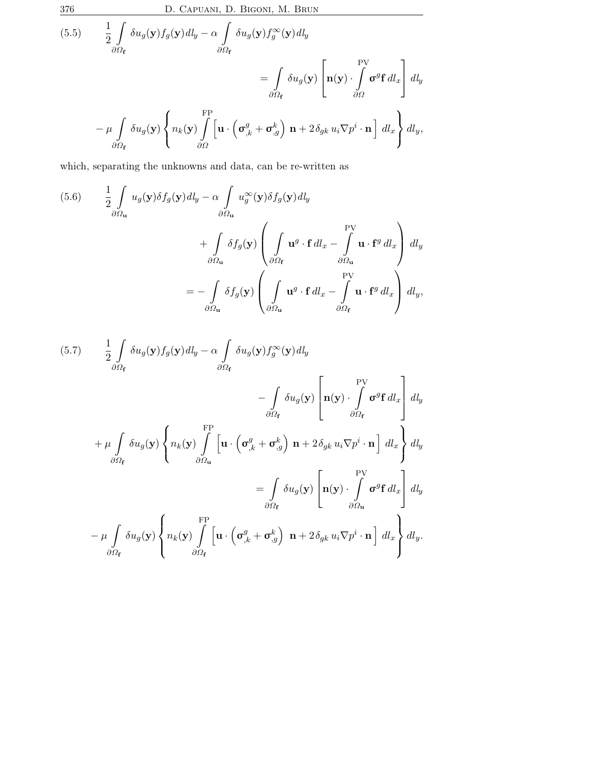376 D. Capuani, D. Bigoni, M. Brun

(5.5) 
$$
\frac{1}{2} \int_{\partial \Omega_{\mathbf{f}}} \delta u_g(\mathbf{y}) f_g(\mathbf{y}) d l_y - \alpha \int_{\partial \Omega_{\mathbf{f}}} \delta u_g(\mathbf{y}) f_g^{\infty}(\mathbf{y}) d l_y
$$

$$
= \int_{\partial \Omega_{\mathbf{f}}} \delta u_g(\mathbf{y}) \left[ \mathbf{n}(\mathbf{y}) \cdot \int_{\partial \Omega} \sigma^g \mathbf{f} d l_x \right] d l_y
$$

$$
- \mu \int_{\partial \Omega_{\mathbf{f}}} \delta u_g(\mathbf{y}) \left\{ n_k(\mathbf{y}) \int_{\partial \Omega} \left[ \mathbf{u} \cdot \left( \sigma_{,k}^g + \sigma_{,g}^k \right) \mathbf{n} + 2 \delta_{gk} u_i \nabla p^i \cdot \mathbf{n} \right] d l_x \right\} d l_y,
$$

which, separating the unknowns and data, can be re-written as

(5.6) 
$$
\frac{1}{2} \int_{\partial \Omega_{\mathbf{u}}} u_g(\mathbf{y}) \delta f_g(\mathbf{y}) d l_y - \alpha \int_{\partial \Omega_{\mathbf{u}}} u_g^{\infty}(\mathbf{y}) \delta f_g(\mathbf{y}) d l_y \n+ \int_{\partial \Omega_{\mathbf{u}}} \delta f_g(\mathbf{y}) \left( \int_{\partial \Omega_{\mathbf{f}}} \mathbf{u}^g \cdot \mathbf{f} d l_x - \int_{\partial \Omega_{\mathbf{u}}} \mathbf{u} \cdot \mathbf{f}^g d l_x \right) d l_y \n= - \int_{\partial \Omega_{\mathbf{u}}} \delta f_g(\mathbf{y}) \left( \int_{\partial \Omega_{\mathbf{u}}} \mathbf{u}^g \cdot \mathbf{f} d l_x - \int_{\partial \Omega_{\mathbf{f}}} \mathbf{u} \cdot \mathbf{f}^g d l_x \right) d l_y,
$$

$$
(5.7) \frac{1}{2} \int_{\partial \Omega_{\mathbf{f}}} \delta u_{g}(\mathbf{y}) f_{g}(\mathbf{y}) d l_{y} - \alpha \int_{\partial \Omega_{\mathbf{f}}} \delta u_{g}(\mathbf{y}) f_{g}^{\infty}(\mathbf{y}) d l_{y}
$$

$$
- \int_{\partial \Omega_{\mathbf{f}}} \delta u_{g}(\mathbf{y}) \left[ \mathbf{n}(\mathbf{y}) \cdot \int_{\partial \Omega_{\mathbf{f}}} \sigma^{g} \mathbf{f} d l_{x} \right] d l_{y}
$$

$$
+ \mu \int_{\partial \Omega_{\mathbf{f}}} \delta u_{g}(\mathbf{y}) \left\{ n_{k}(\mathbf{y}) \int_{\partial \Omega_{\mathbf{u}}} \left[ \mathbf{u} \cdot \left( \sigma_{,k}^{g} + \sigma_{,g}^{k} \right) \mathbf{n} + 2 \delta_{gk} u_{i} \nabla p^{i} \cdot \mathbf{n} \right] d l_{x} \right\} d l_{y}
$$

$$
= \int_{\partial \Omega_{\mathbf{f}}} \delta u_{g}(\mathbf{y}) \left[ \mathbf{n}(\mathbf{y}) \cdot \int_{\partial \Omega_{\mathbf{u}}} \sigma^{g} \mathbf{f} d l_{x} \right] d l_{y}
$$

$$
- \mu \int_{\partial \Omega_{\mathbf{f}}} \delta u_{g}(\mathbf{y}) \left\{ n_{k}(\mathbf{y}) \int_{\partial \Omega_{\mathbf{f}}} \left[ \mathbf{u} \cdot \left( \sigma_{,k}^{g} + \sigma_{,g}^{k} \right) \mathbf{n} + 2 \delta_{gk} u_{i} \nabla p^{i} \cdot \mathbf{n} \right] d l_{x} \right\} d l_{y}.
$$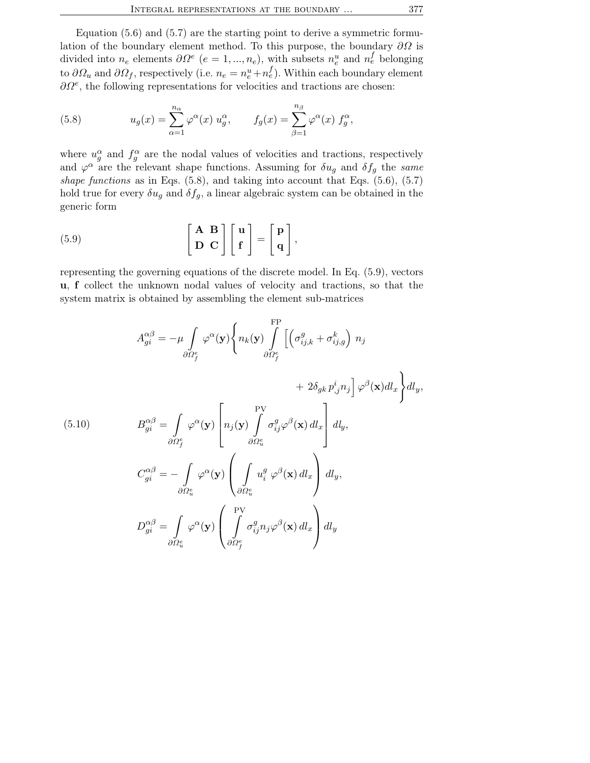Equation  $(5.6)$  and  $(5.7)$  are the starting point to derive a symmetric formulation of the boundary element method. To this purpose, the boundary  $\partial\Omega$  is divided into  $n_e$  elements  $\partial \Omega^e$   $(e = 1, ..., n_e)$ , with subsets  $n_e^u$  and  $n_e^f$  belonging to  $\partial\Omega_u$  and  $\partial\Omega_f$ , respectively (i.e.  $n_e = n_e^u + n_e^f$ ). Within each boundary element  $\partial\Omega^e$ , the following representations for velocities and tractions are chosen:

(5.8) 
$$
u_g(x) = \sum_{\alpha=1}^{n_{\alpha}} \varphi^{\alpha}(x) u_g^{\alpha}, \qquad f_g(x) = \sum_{\beta=1}^{n_{\beta}} \varphi^{\alpha}(x) f_g^{\alpha},
$$

where  $u_g^{\alpha}$  and  $f_g^{\alpha}$  are the nodal values of velocities and tractions, respectively and  $\varphi^{\alpha}$  are the relevant shape functions. Assuming for  $\delta u_g$  and  $\delta f_g$  the same shape functions as in Eqs.  $(5.8)$ , and taking into account that Eqs.  $(5.6)$ ,  $(5.7)$ hold true for every  $\delta u_g$  and  $\delta f_g$ , a linear algebraic system can be obtained in the generic form

(5.9) 
$$
\left[\begin{array}{c} \mathbf{A} & \mathbf{B} \\ \mathbf{D} & \mathbf{C} \end{array}\right] \left[\begin{array}{c} \mathbf{u} \\ \mathbf{f} \end{array}\right] = \left[\begin{array}{c} \mathbf{p} \\ \mathbf{q} \end{array}\right],
$$

representing the governing equations of the discrete model. In Eq. (5.9), vectors u, f collect the unknown nodal values of velocity and tractions, so that the system matrix is obtained by assembling the element sub-matrices

$$
A_{gi}^{\alpha\beta} = -\mu \int_{\partial\Omega_f^e} \varphi^{\alpha}(\mathbf{y}) \left\{ n_k(\mathbf{y}) \int_{\partial\Omega_f^e}^{\text{FP}} \left[ \left( \sigma_{ij,k}^g + \sigma_{ij,g}^k \right) n_j \right. \right. \\ \left. + 2\delta_{gk} p_{,j}^i n_j \right] \varphi^{\beta}(\mathbf{x}) dl_x \right\} dl_y,
$$
\n(5.10)\n
$$
B_{gi}^{\alpha\beta} = \int_{\partial\Omega_f^e} \varphi^{\alpha}(\mathbf{y}) \left[ n_j(\mathbf{y}) \int_{\partial\Omega_u^e}^{\text{PV}} \sigma_{ij}^g \varphi^{\beta}(\mathbf{x}) dl_x \right] dl_y,
$$
\n
$$
C_{gi}^{\alpha\beta} = -\int_{\partial\Omega_u^e} \varphi^{\alpha}(\mathbf{y}) \left( \int_{\partial\Omega_u^e} u_i^g \varphi^{\beta}(\mathbf{x}) dl_x \right) dl_y,
$$
\n
$$
D_{gi}^{\alpha\beta} = \int_{\partial\Omega_u^e} \varphi^{\alpha}(\mathbf{y}) \left( \int_{\partial\Omega_f^e}^{\text{PV}} \sigma_{ij}^g n_j \varphi^{\beta}(\mathbf{x}) dl_x \right) dl_y
$$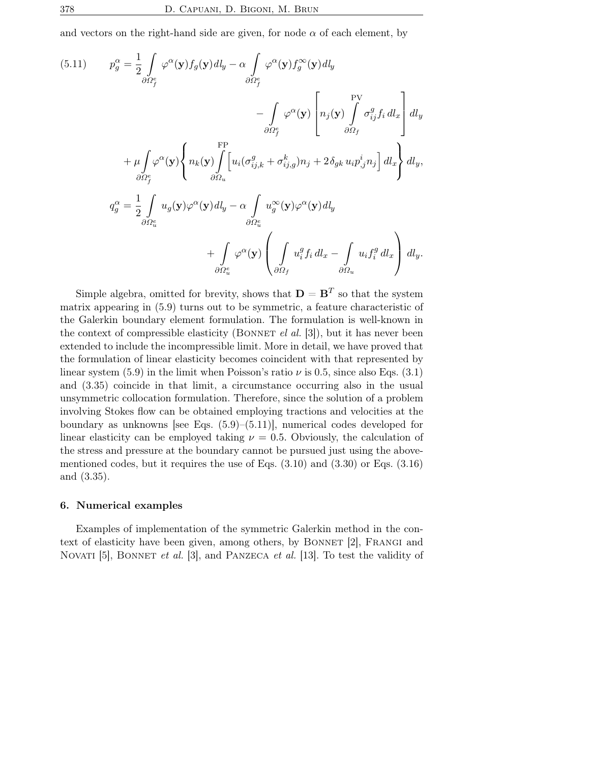and vectors on the right-hand side are given, for node  $\alpha$  of each element, by

(5.11) 
$$
p_g^{\alpha} = \frac{1}{2} \int_{\partial \Omega_f^e} \varphi^{\alpha}(\mathbf{y}) f_g(\mathbf{y}) d\mathbf{l}_y - \alpha \int_{\partial \Omega_f^e} \varphi^{\alpha}(\mathbf{y}) f_g^{\infty}(\mathbf{y}) d\mathbf{l}_y
$$

$$
- \int_{\partial \Omega_f^e} \varphi^{\alpha}(\mathbf{y}) \left[ n_j(\mathbf{y}) \int_{\partial \Omega_f}^{\text{PV}} \sigma_{ij}^g f_i d\mathbf{l}_x \right] d\mathbf{l}_y
$$

$$
+ \mu \int_{\partial \Omega_f^e} \varphi^{\alpha}(\mathbf{y}) \left\{ n_k(\mathbf{y}) \int_{\partial \Omega_u}^{\text{FP}} \left[ u_i(\sigma_{ij,k}^g + \sigma_{ij,g}^k) n_j + 2 \delta_{gk} u_i p_{,j}^i n_j \right] d\mathbf{l}_x \right\} d\mathbf{l}_y,
$$

$$
q_g^{\alpha} = \frac{1}{2} \int_{\partial \Omega_u^e} u_g(\mathbf{y}) \varphi^{\alpha}(\mathbf{y}) d\mathbf{l}_y - \alpha \int_{\partial \Omega_u^e} u_g^{\infty}(\mathbf{y}) \varphi^{\alpha}(\mathbf{y}) d\mathbf{l}_y
$$

$$
+ \int_{\partial \Omega_u^e} \varphi^{\alpha}(\mathbf{y}) \left( \int_{\partial \Omega_f} u_i^g f_i d\mathbf{l}_x - \int_{\partial \Omega_u} u_i f_i^g d\mathbf{l}_x \right) d\mathbf{l}_y.
$$

Simple algebra, omitted for brevity, shows that  $\mathbf{D} = \mathbf{B}^T$  so that the system matrix appearing in (5.9) turns out to be symmetric, a feature characteristic of the Galerkin boundary element formulation. The formulation is well-known in the context of compressible elasticity (BONNET el al.  $[3]$ ), but it has never been extended to include the incompressible limit. More in detail, we have proved that the formulation of linear elasticity becomes coincident with that represented by linear system (5.9) in the limit when Poisson's ratio  $\nu$  is 0.5, since also Eqs. (3.1) and (3.35) coincide in that limit, a circumstance occurring also in the usual unsymmetric collocation formulation. Therefore, since the solution of a problem involving Stokes flow can be obtained employing tractions and velocities at the boundary as unknowns [see Eqs. (5.9)–(5.11)], numerical codes developed for linear elasticity can be employed taking  $\nu = 0.5$ . Obviously, the calculation of the stress and pressure at the boundary cannot be pursued just using the abovementioned codes, but it requires the use of Eqs. (3.10) and (3.30) or Eqs. (3.16) and (3.35).

#### 6. Numerical examples

Examples of implementation of the symmetric Galerkin method in the context of elasticity have been given, among others, by BONNET [2], FRANGI and NOVATI [5], BONNET et al. [3], and PANZECA et al. [13]. To test the validity of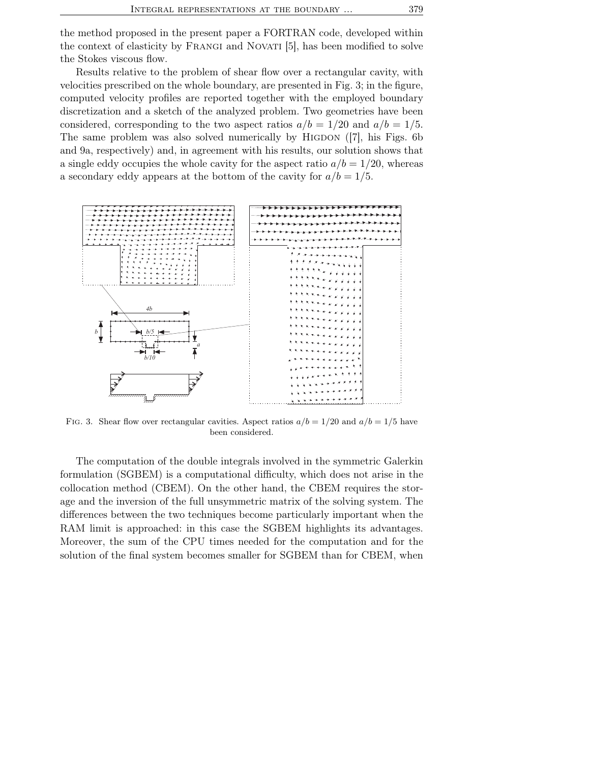the method proposed in the present paper a FORTRAN code, developed within the context of elasticity by Frangi and Novati [5], has been modified to solve the Stokes viscous flow.

Results relative to the problem of shear flow over a rectangular cavity, with velocities prescribed on the whole boundary, are presented in Fig. 3; in the figure, computed velocity profiles are reported together with the employed boundary discretization and a sketch of the analyzed problem. Two geometries have been considered, corresponding to the two aspect ratios  $a/b = 1/20$  and  $a/b = 1/5$ . The same problem was also solved numerically by HIGDON ([7], his Figs. 6b and 9a, respectively) and, in agreement with his results, our solution shows that a single eddy occupies the whole cavity for the aspect ratio  $a/b = 1/20$ , whereas a secondary eddy appears at the bottom of the cavity for  $a/b = 1/5$ .



FIG. 3. Shear flow over rectangular cavities. Aspect ratios  $a/b = 1/20$  and  $a/b = 1/5$  have been considered.

The computation of the double integrals involved in the symmetric Galerkin formulation (SGBEM) is a computational difficulty, which does not arise in the collocation method (CBEM). On the other hand, the CBEM requires the storage and the inversion of the full unsymmetric matrix of the solving system. The differences between the two techniques become particularly important when the RAM limit is approached: in this case the SGBEM highlights its advantages. Moreover, the sum of the CPU times needed for the computation and for the solution of the final system becomes smaller for SGBEM than for CBEM, when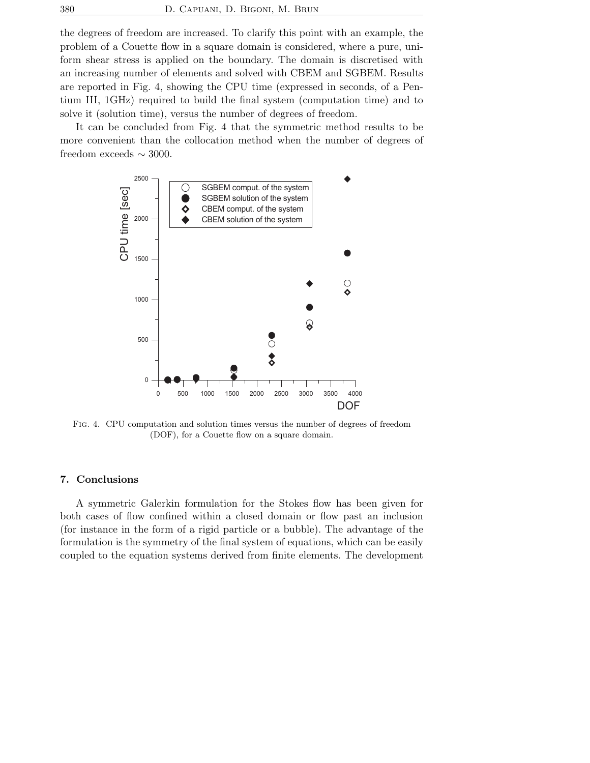the degrees of freedom are increased. To clarify this point with an example, the problem of a Couette flow in a square domain is considered, where a pure, uniform shear stress is applied on the boundary. The domain is discretised with an increasing number of elements and solved with CBEM and SGBEM. Results are reported in Fig. 4, showing the CPU time (expressed in seconds, of a Pentium III, 1GHz) required to build the final system (computation time) and to solve it (solution time), versus the number of degrees of freedom.

It can be concluded from Fig. 4 that the symmetric method results to be more convenient than the collocation method when the number of degrees of freedom exceeds  $\sim$  3000.



Fig. 4. CPU computation and solution times versus the number of degrees of freedom (DOF), for a Couette flow on a square domain.

#### 7. Conclusions

A symmetric Galerkin formulation for the Stokes flow has been given for both cases of flow confined within a closed domain or flow past an inclusion (for instance in the form of a rigid particle or a bubble). The advantage of the formulation is the symmetry of the final system of equations, which can be easily coupled to the equation systems derived from finite elements. The development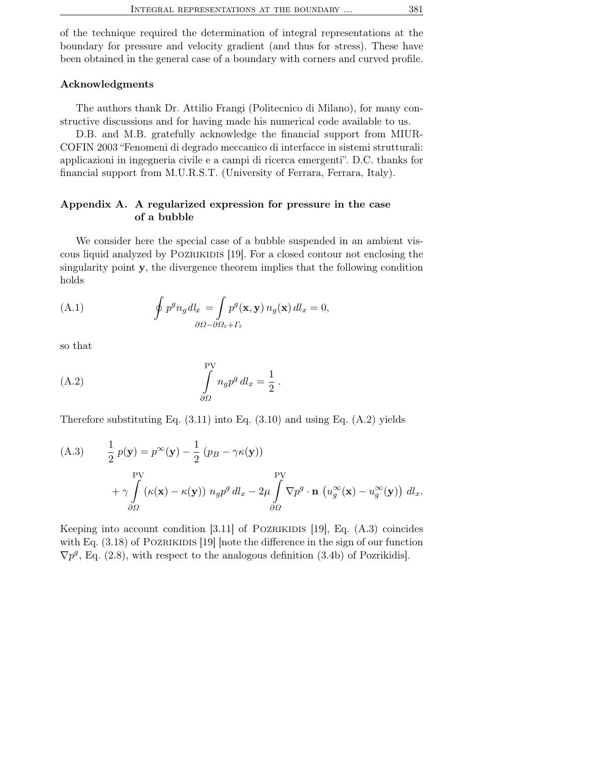of the technique required the determination of integral representations at the boundary for pressure and velocity gradient (and thus for stress). These have been obtained in the general case of a boundary with corners and curved profile.

## Acknowledgments

The authors thank Dr. Attilio Frangi (Politecnico di Milano), for many constructive discussions and for having made his numerical code available to us.

D.B. and M.B. gratefully acknowledge the financial support from MIUR-COFIN 2003 "Fenomeni di degrado meccanico di interfacce in sistemi strutturali: applicazioni in ingegneria civile e a campi di ricerca emergenti". D.C. thanks for financial support from M.U.R.S.T. (University of Ferrara, Ferrara, Italy).

## Appendix A. A regularized expression for pressure in the case of a bubble

We consider here the special case of a bubble suspended in an ambient viscous liquid analyzed by Pozrikidis [19]. For a closed contour not enclosing the singularity point y, the divergence theorem implies that the following condition holds

(A.1) 
$$
\oint p^g n_g dl_x = \int_{\partial \Omega - \partial \Omega_{\varepsilon} + \Gamma_{\varepsilon}} p^g(\mathbf{x}, \mathbf{y}) n_g(\mathbf{x}) dl_x = 0,
$$

so that

(A.2) 
$$
\int_{\partial\Omega} n_g p^g \, dl_x = \frac{1}{2} \, .
$$

Therefore substituting Eq.  $(3.11)$  into Eq.  $(3.10)$  and using Eq.  $(A.2)$  yields

(A.3) 
$$
\frac{1}{2} p(\mathbf{y}) = p^{\infty}(\mathbf{y}) - \frac{1}{2} (p_B - \gamma \kappa(\mathbf{y}))
$$
  
\n
$$
+ \gamma \int_{\partial \Omega} (\kappa(\mathbf{x}) - \kappa(\mathbf{y})) n_g p^g dl_x - 2\mu \int_{\partial \Omega} \nabla p^g \cdot \mathbf{n} (u_g^{\infty}(\mathbf{x}) - u_g^{\infty}(\mathbf{y})) dl_x.
$$

Keeping into account condition  $[3.11]$  of POZRIKIDIS  $[19]$ , Eq.  $(A.3)$  coincides with Eq.  $(3.18)$  of POZRIKIDIS [19] [note the difference in the sign of our function  $\nabla p^{g}$ , Eq. (2.8), with respect to the analogous definition (3.4b) of Pozrikidis.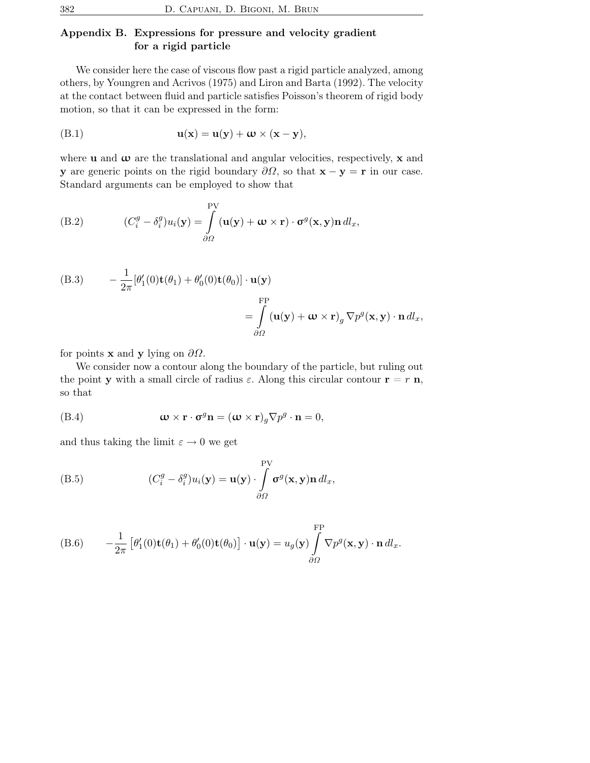# Appendix B. Expressions for pressure and velocity gradient for a rigid particle

We consider here the case of viscous flow past a rigid particle analyzed, among others, by Youngren and Acrivos (1975) and Liron and Barta (1992). The velocity at the contact between fluid and particle satisfies Poisson's theorem of rigid body motion, so that it can be expressed in the form:

$$
u(x) = u(y) + \omega \times (x - y),
$$

where  $\bf{u}$  and  $\bf{\omega}$  are the translational and angular velocities, respectively,  $\bf{x}$  and y are generic points on the rigid boundary  $\partial\Omega$ , so that  $\mathbf{x} - \mathbf{y} = \mathbf{r}$  in our case. Standard arguments can be employed to show that

(B.2) 
$$
(C_i^g - \delta_i^g)u_i(\mathbf{y}) = \int_{\partial\Omega} \left(\mathbf{u}(\mathbf{y}) + \boldsymbol{\omega} \times \mathbf{r}\right) \cdot \boldsymbol{\sigma}^g(\mathbf{x}, \mathbf{y}) \mathbf{n} \, dl_x,
$$

(B.3) 
$$
- \frac{1}{2\pi} [\theta'_1(0) \mathbf{t}(\theta_1) + \theta'_0(0) \mathbf{t}(\theta_0)] \cdot \mathbf{u}(\mathbf{y})
$$

$$
= \int_{\partial \Omega} (\mathbf{u}(\mathbf{y}) + \mathbf{\omega} \times \mathbf{r})_g \nabla p^g(\mathbf{x}, \mathbf{y}) \cdot \mathbf{n} \, dl_x,
$$

for points **x** and **y** lying on  $\partial\Omega$ .

We consider now a contour along the boundary of the particle, but ruling out the point **y** with a small circle of radius  $\varepsilon$ . Along this circular contour  $\mathbf{r} = r \mathbf{n}$ , so that

(B.4) 
$$
\mathbf{\omega} \times \mathbf{r} \cdot \mathbf{\sigma}^g \mathbf{n} = (\mathbf{\omega} \times \mathbf{r})_g \nabla p^g \cdot \mathbf{n} = 0,
$$

and thus taking the limit  $\varepsilon \to 0$  we get

(B.5) 
$$
(C_i^g - \delta_i^g)u_i(\mathbf{y}) = \mathbf{u}(\mathbf{y}) \cdot \int_{\partial \Omega} \sigma^g(\mathbf{x}, \mathbf{y}) \mathbf{n} \, dl_x,
$$

(B.6) 
$$
-\frac{1}{2\pi} \left[ \theta'_1(0) \mathbf{t}(\theta_1) + \theta'_0(0) \mathbf{t}(\theta_0) \right] \cdot \mathbf{u}(\mathbf{y}) = u_g(\mathbf{y}) \int_{\partial \Omega}^{\rm FP} \nabla p^g(\mathbf{x}, \mathbf{y}) \cdot \mathbf{n} \, dl_x.
$$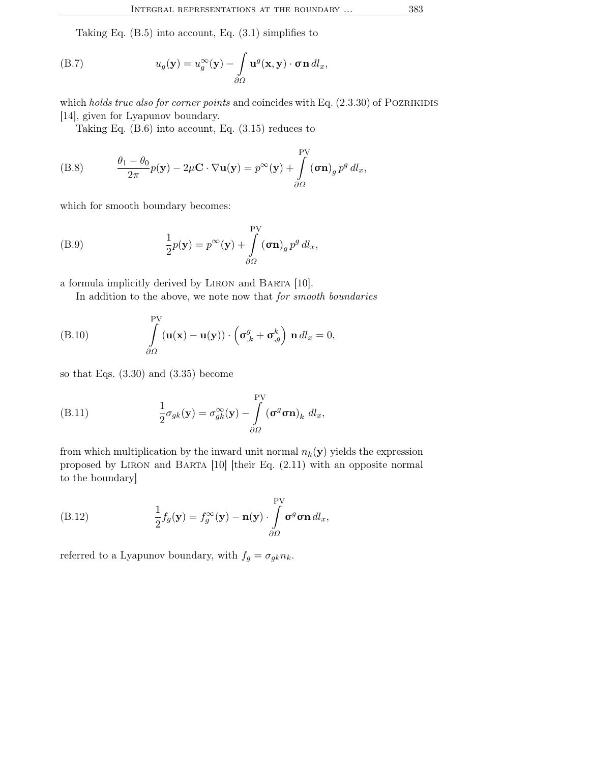Taking Eq. (B.5) into account, Eq. (3.1) simplifies to

(B.7) 
$$
u_g(\mathbf{y}) = u_g^{\infty}(\mathbf{y}) - \int_{\partial \Omega} \mathbf{u}^g(\mathbf{x}, \mathbf{y}) \cdot \boldsymbol{\sigma} \mathbf{n} \, dl_x,
$$

which holds true also for corner points and coincides with Eq.  $(2.3.30)$  of POZRIKIDIS [14], given for Lyapunov boundary.

Taking Eq. (B.6) into account, Eq. (3.15) reduces to

(B.8) 
$$
\frac{\theta_1 - \theta_0}{2\pi} p(\mathbf{y}) - 2\mu \mathbf{C} \cdot \nabla \mathbf{u}(\mathbf{y}) = p^{\infty}(\mathbf{y}) + \int_{\partial \Omega}^{\text{PV}} (\sigma \mathbf{n})_g p^g dl_x,
$$

which for smooth boundary becomes:

(B.9) 
$$
\frac{1}{2}p(\mathbf{y}) = p^{\infty}(\mathbf{y}) + \int_{\partial\Omega}^{\text{PV}} (\boldsymbol{\sigma}\mathbf{n})_g p^g dl_x,
$$

a formula implicitly derived by Liron and Barta [10].

In addition to the above, we note now that for smooth boundaries

(B.10) 
$$
\int_{\partial\Omega} \left( \mathbf{u}(\mathbf{x}) - \mathbf{u}(\mathbf{y}) \right) \cdot \left( \sigma_{,k}^g + \sigma_{,g}^k \right) \mathbf{n} \, dl_x = 0,
$$

so that Eqs. (3.30) and (3.35) become

(B.11) 
$$
\frac{1}{2}\sigma_{gk}(\mathbf{y}) = \sigma_{gk}^{\infty}(\mathbf{y}) - \int_{\partial\Omega}^{\text{PV}} (\sigma^g \sigma \mathbf{n})_k \, dl_x,
$$

from which multiplication by the inward unit normal  $n_k(\mathbf{y})$  yields the expression proposed by Liron and Barta [10] [their Eq. (2.11) with an opposite normal to the boundary]

(B.12) 
$$
\frac{1}{2}f_g(\mathbf{y}) = f_g^{\infty}(\mathbf{y}) - \mathbf{n}(\mathbf{y}) \cdot \int_{\partial \Omega} \sigma^g \sigma \mathbf{n} \, dl_x,
$$

referred to a Lyapunov boundary, with  $f_g = \sigma_{gk} n_k$ .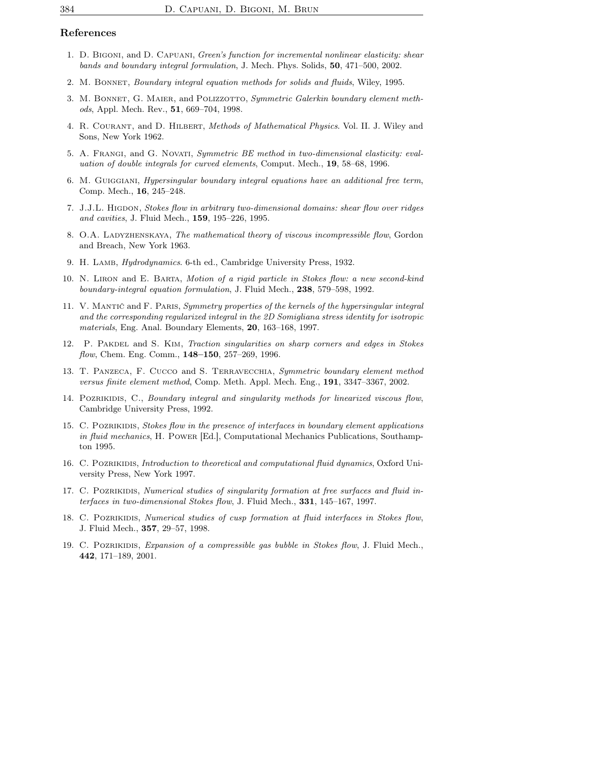### References

- 1. D. Bigoni, and D. Capuani, Green's function for incremental nonlinear elasticity: shear bands and boundary integral formulation, J. Mech. Phys. Solids, 50, 471–500, 2002.
- 2. M. Bonnet, Boundary integral equation methods for solids and fluids, Wiley, 1995.
- 3. M. BONNET, G. MAIER, and POLIZZOTTO, Symmetric Galerkin boundary element methods, Appl. Mech. Rev., 51, 669–704, 1998.
- 4. R. Courant, and D. Hilbert, Methods of Mathematical Physics. Vol. II. J. Wiley and Sons, New York 1962.
- 5. A. Frangi, and G. Novati, Symmetric BE method in two-dimensional elasticity: evaluation of double integrals for curved elements, Comput. Mech., 19, 58–68, 1996.
- 6. M. Guiggiani, Hypersingular boundary integral equations have an additional free term, Comp. Mech., 16, 245–248.
- 7. J.J.L. HIGDON, Stokes flow in arbitrary two-dimensional domains: shear flow over ridges and cavities, J. Fluid Mech., 159, 195-226, 1995.
- 8. O.A. LADYZHENSKAYA, The mathematical theory of viscous incompressible flow, Gordon and Breach, New York 1963.
- 9. H. LAMB, Hydrodynamics. 6-th ed., Cambridge University Press, 1932.
- 10. N. Liron and E. Barta, Motion of a rigid particle in Stokes flow: a new second-kind boundary-integral equation formulation, J. Fluid Mech., 238, 579–598, 1992.
- 11. V. Mantič and F. Paris, Symmetry properties of the kernels of the hypersingular integral and the corresponding regularized integral in the 2D Somigliana stress identity for isotropic materials, Eng. Anal. Boundary Elements, 20, 163–168, 1997.
- 12. P. PAKDEL and S. KIM, Traction singularities on sharp corners and edges in Stokes flow, Chem. Eng. Comm., 148-150, 257-269, 1996.
- 13. T. PANZECA, F. CUCCO and S. TERRAVECCHIA, Symmetric boundary element method versus finite element method, Comp. Meth. Appl. Mech. Eng., 191, 3347–3367, 2002.
- 14. Pozrikidis, C., Boundary integral and singularity methods for linearized viscous flow, Cambridge University Press, 1992.
- 15. C. POZRIKIDIS, Stokes flow in the presence of interfaces in boundary element applications in fluid mechanics, H. POWER [Ed.], Computational Mechanics Publications, Southampton 1995.
- 16. C. POZRIKIDIS, Introduction to theoretical and computational fluid dynamics, Oxford University Press, New York 1997.
- 17. C. POZRIKIDIS, Numerical studies of singularity formation at free surfaces and fluid interfaces in two-dimensional Stokes flow, J. Fluid Mech., 331, 145–167, 1997.
- 18. C. POZRIKIDIS, Numerical studies of cusp formation at fluid interfaces in Stokes flow, J. Fluid Mech., 357, 29–57, 1998.
- 19. C. POZRIKIDIS, Expansion of a compressible gas bubble in Stokes flow, J. Fluid Mech., 442, 171–189, 2001.